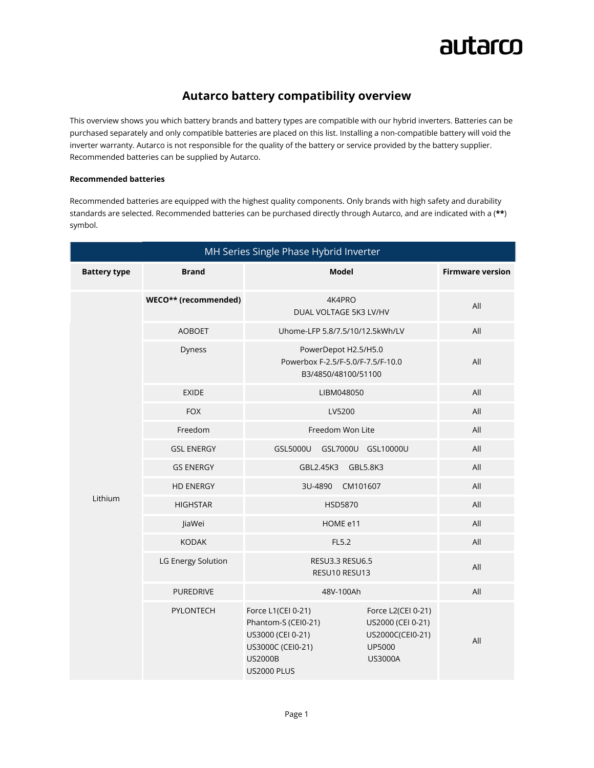

## **Autarco battery compatibility overview**

This overview shows you which battery brands and battery types are compatible with our hybrid inverters. Batteries can be purchased separately and only compatible batteries are placed on this list. Installing a non-compatible battery will void the inverter warranty. Autarco is not responsible for the quality of the battery or service provided by the battery supplier. Recommended batteries can be supplied by Autarco.

## **Recommended batteries**

Recommended batteries are equipped with the highest quality components. Only brands with high safety and durability standards are selected. Recommended batteries can be purchased directly through Autarco, and are indicated with a (**\*\***) symbol.

| MH Series Single Phase Hybrid Inverter |                      |                                                                                                                                                                                                                               |                         |
|----------------------------------------|----------------------|-------------------------------------------------------------------------------------------------------------------------------------------------------------------------------------------------------------------------------|-------------------------|
| <b>Battery type</b>                    | <b>Brand</b>         | <b>Model</b>                                                                                                                                                                                                                  | <b>Firmware version</b> |
|                                        | WECO** (recommended) | 4K4PRO<br>DUAL VOLTAGE 5K3 LV/HV                                                                                                                                                                                              | All                     |
|                                        | <b>AOBOET</b>        | Uhome-LFP 5.8/7.5/10/12.5kWh/LV                                                                                                                                                                                               | All                     |
|                                        | Dyness               | PowerDepot H2.5/H5.0<br>Powerbox F-2.5/F-5.0/F-7.5/F-10.0<br>B3/4850/48100/51100                                                                                                                                              | All                     |
|                                        | <b>EXIDE</b>         | LIBM048050                                                                                                                                                                                                                    | All                     |
|                                        | <b>FOX</b>           | LV5200                                                                                                                                                                                                                        | All                     |
|                                        | Freedom              | Freedom Won Lite                                                                                                                                                                                                              | All                     |
|                                        | <b>GSL ENERGY</b>    | GSL5000U<br>GSL7000U GSL10000U                                                                                                                                                                                                | All                     |
|                                        | <b>GS ENERGY</b>     | GBL2.45K3<br>GBL5.8K3                                                                                                                                                                                                         | All                     |
|                                        | <b>HD ENERGY</b>     | 3U-4890<br>CM101607                                                                                                                                                                                                           | All                     |
| Lithium                                | <b>HIGHSTAR</b>      | <b>HSD5870</b>                                                                                                                                                                                                                | All                     |
|                                        | JiaWei               | HOME e11                                                                                                                                                                                                                      | All                     |
|                                        | <b>KODAK</b>         | FL5.2                                                                                                                                                                                                                         | All                     |
|                                        | LG Energy Solution   | RESU3.3 RESU6.5<br>RESU10 RESU13                                                                                                                                                                                              | All                     |
|                                        | <b>PUREDRIVE</b>     | 48V-100Ah                                                                                                                                                                                                                     | All                     |
|                                        | PYLONTECH            | Force L1(CEI 0-21)<br>Force L2(CEI 0-21)<br>Phantom-S (CEI0-21)<br>US2000 (CEI 0-21)<br>US3000 (CEI 0-21)<br>US2000C(CEI0-21)<br>US3000C (CEI0-21)<br><b>UP5000</b><br><b>US2000B</b><br><b>US3000A</b><br><b>US2000 PLUS</b> | All                     |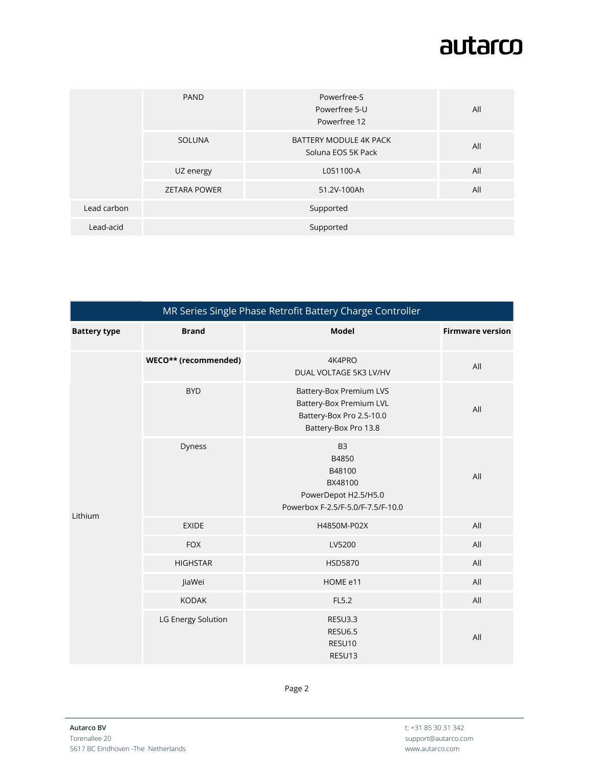## autarco

|             | <b>PAND</b>         | Powerfree-S<br>Powerfree 5-U<br>Powerfree 12 | All |
|-------------|---------------------|----------------------------------------------|-----|
|             | SOLUNA              | BATTERY MODULE 4K PACK<br>Soluna EOS 5K Pack | All |
|             | UZ energy           | L051100-A                                    | All |
|             | <b>ZETARA POWER</b> | 51.2V-100Ah                                  | All |
| Lead carbon |                     | Supported                                    |     |
| Lead-acid   |                     | Supported                                    |     |

| MR Series Single Phase Retrofit Battery Charge Controller |                      |                                                                                                                      |                         |
|-----------------------------------------------------------|----------------------|----------------------------------------------------------------------------------------------------------------------|-------------------------|
| <b>Battery type</b>                                       | <b>Brand</b>         | <b>Model</b>                                                                                                         | <b>Firmware version</b> |
| Lithium                                                   | WECO** (recommended) | 4K4PRO<br>DUAL VOLTAGE 5K3 LV/HV                                                                                     | All                     |
|                                                           | <b>BYD</b>           | <b>Battery-Box Premium LVS</b><br><b>Battery-Box Premium LVL</b><br>Battery-Box Pro 2.5-10.0<br>Battery-Box Pro 13.8 | All                     |
|                                                           | Dyness               | B <sub>3</sub><br>B4850<br>B48100<br>BX48100<br>PowerDepot H2.5/H5.0<br>Powerbox F-2.5/F-5.0/F-7.5/F-10.0            | All                     |
|                                                           | <b>EXIDE</b>         | H4850M-P02X                                                                                                          | All                     |
|                                                           | <b>FOX</b>           | LV5200                                                                                                               | All                     |
|                                                           | <b>HIGHSTAR</b>      | <b>HSD5870</b>                                                                                                       | All                     |
|                                                           | JiaWei               | HOME e11                                                                                                             | All                     |
|                                                           | <b>KODAK</b>         | FL5.2                                                                                                                | All                     |
|                                                           | LG Energy Solution   | RESU3.3<br><b>RESU6.5</b><br>RESU10<br>RESU13                                                                        | All                     |